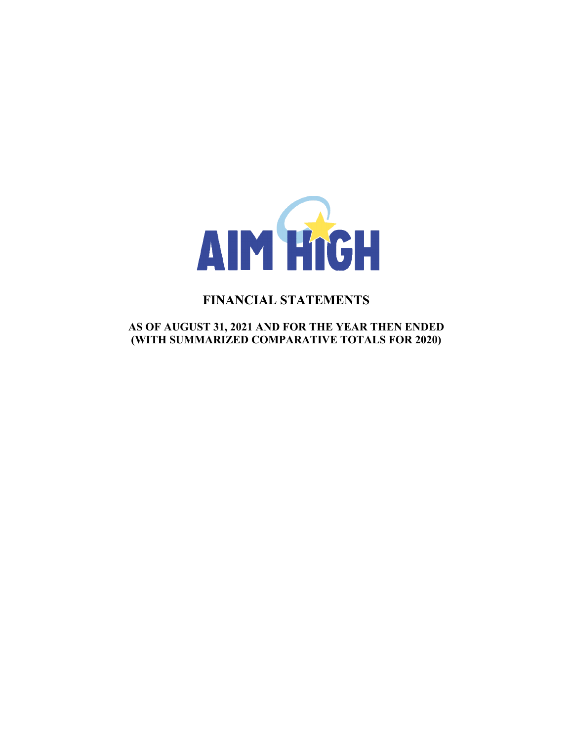

# **FINANCIAL STATEMENTS**

**AS OF AUGUST 31, 2021 AND FOR THE YEAR THEN ENDED (WITH SUMMARIZED COMPARATIVE TOTALS FOR 2020)**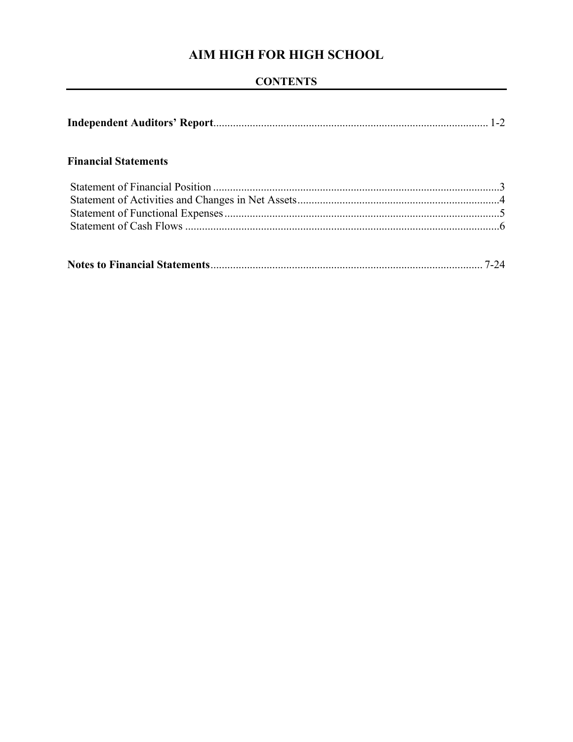## **CONTENTS**

|--|--|--|--|

## **Financial Statements**

|--|--|--|--|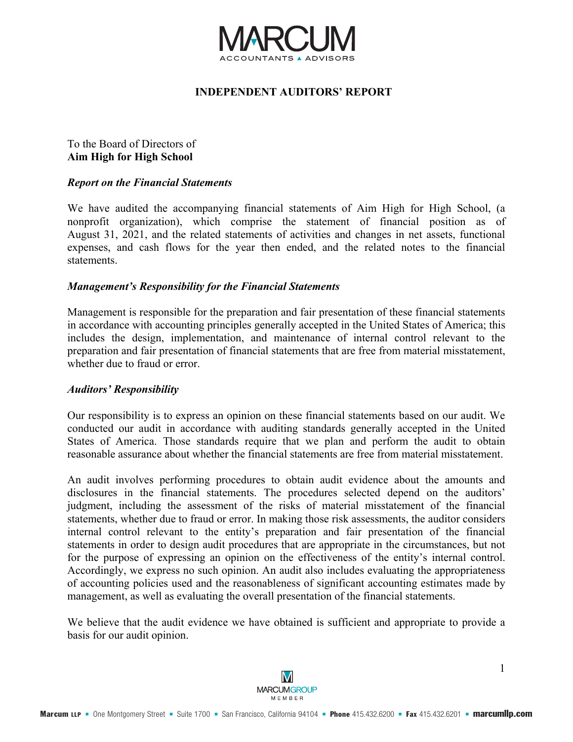

## **INDEPENDENT AUDITORS' REPORT**

## To the Board of Directors of **Aim High for High School**

### *Report on the Financial Statements*

We have audited the accompanying financial statements of Aim High for High School, (a nonprofit organization), which comprise the statement of financial position as of August 31, 2021, and the related statements of activities and changes in net assets, functional expenses, and cash flows for the year then ended, and the related notes to the financial statements.

### *Management's Responsibility for the Financial Statements*

Management is responsible for the preparation and fair presentation of these financial statements in accordance with accounting principles generally accepted in the United States of America; this includes the design, implementation, and maintenance of internal control relevant to the preparation and fair presentation of financial statements that are free from material misstatement, whether due to fraud or error.

## *Auditors' Responsibility*

Our responsibility is to express an opinion on these financial statements based on our audit. We conducted our audit in accordance with auditing standards generally accepted in the United States of America. Those standards require that we plan and perform the audit to obtain reasonable assurance about whether the financial statements are free from material misstatement.

An audit involves performing procedures to obtain audit evidence about the amounts and disclosures in the financial statements. The procedures selected depend on the auditors' judgment, including the assessment of the risks of material misstatement of the financial statements, whether due to fraud or error. In making those risk assessments, the auditor considers internal control relevant to the entity's preparation and fair presentation of the financial statements in order to design audit procedures that are appropriate in the circumstances, but not for the purpose of expressing an opinion on the effectiveness of the entity's internal control. Accordingly, we express no such opinion. An audit also includes evaluating the appropriateness of accounting policies used and the reasonableness of significant accounting estimates made by management, as well as evaluating the overall presentation of the financial statements.

We believe that the audit evidence we have obtained is sufficient and appropriate to provide a basis for our audit opinion.



1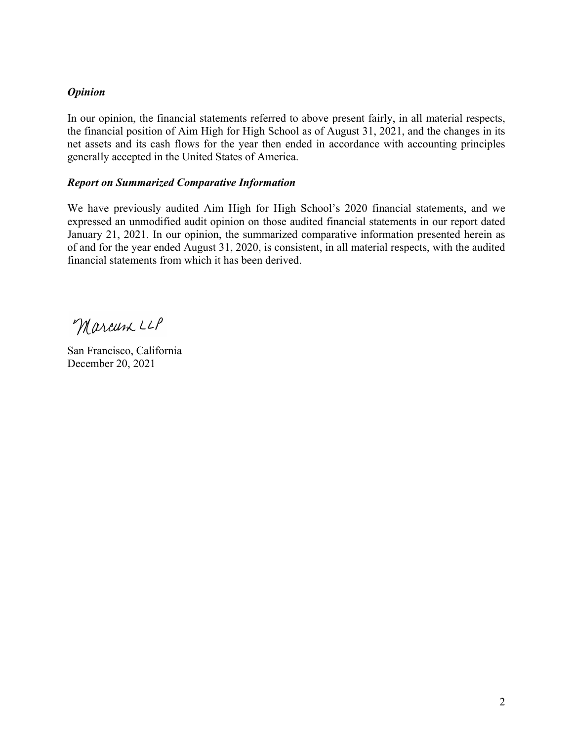## *Opinion*

In our opinion, the financial statements referred to above present fairly, in all material respects, the financial position of Aim High for High School as of August 31, 2021, and the changes in its net assets and its cash flows for the year then ended in accordance with accounting principles generally accepted in the United States of America.

## *Report on Summarized Comparative Information*

We have previously audited Aim High for High School's 2020 financial statements, and we expressed an unmodified audit opinion on those audited financial statements in our report dated January 21, 2021. In our opinion, the summarized comparative information presented herein as of and for the year ended August 31, 2020, is consistent, in all material respects, with the audited financial statements from which it has been derived.

Marcum LLP

San Francisco, California December 20, 2021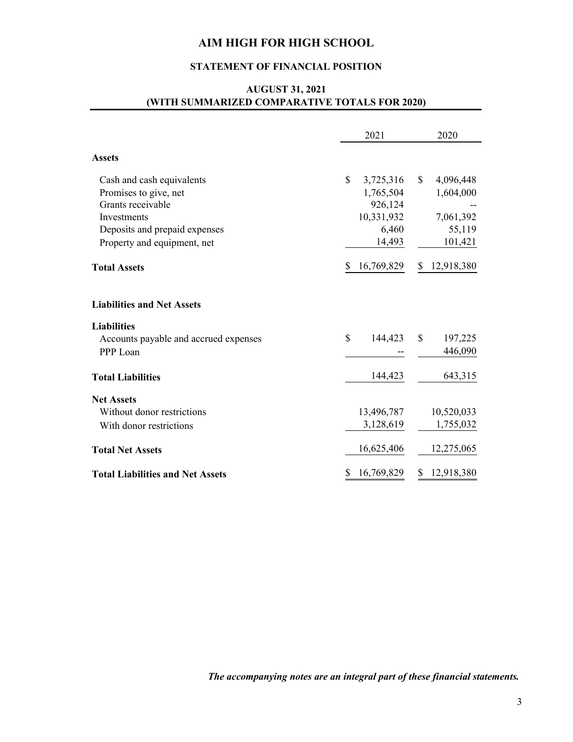## **STATEMENT OF FINANCIAL POSITION**

## **AUGUST 31, 2021 (WITH SUMMARIZED COMPARATIVE TOTALS FOR 2020)**

|                                                                                                                         | 2021                                                                               | 2020                                                          |
|-------------------------------------------------------------------------------------------------------------------------|------------------------------------------------------------------------------------|---------------------------------------------------------------|
| <b>Assets</b>                                                                                                           |                                                                                    |                                                               |
| Cash and cash equivalents<br>Promises to give, net<br>Grants receivable<br>Investments<br>Deposits and prepaid expenses | $\mathbb{S}$<br>3,725,316<br>1,765,504<br>926,124<br>10,331,932<br>6,460<br>14,493 | $\mathbb{S}$<br>4,096,448<br>1,604,000<br>7,061,392<br>55,119 |
| Property and equipment, net<br><b>Total Assets</b>                                                                      | 16,769,829                                                                         | 101,421<br>12,918,380<br>\$                                   |
| <b>Liabilities and Net Assets</b>                                                                                       |                                                                                    |                                                               |
| <b>Liabilities</b><br>Accounts payable and accrued expenses<br>PPP Loan                                                 | \$<br>144,423                                                                      | $\mathbb{S}$<br>197,225<br>446,090                            |
| <b>Total Liabilities</b>                                                                                                | 144,423                                                                            | 643,315                                                       |
| <b>Net Assets</b><br>Without donor restrictions<br>With donor restrictions                                              | 13,496,787<br>3,128,619                                                            | 10,520,033<br>1,755,032                                       |
| <b>Total Net Assets</b>                                                                                                 | 16,625,406                                                                         | 12,275,065                                                    |
| <b>Total Liabilities and Net Assets</b>                                                                                 | 16,769,829                                                                         | \$12,918,380                                                  |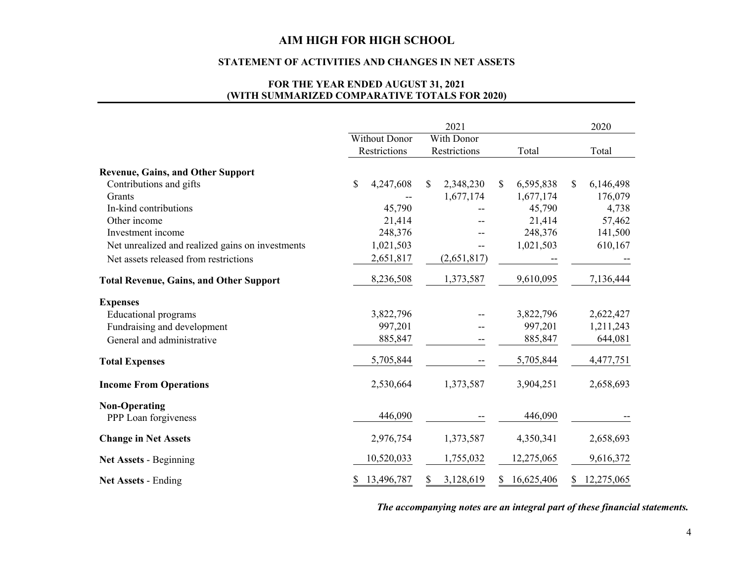#### **STATEMENT OF ACTIVITIES AND CHANGES IN NET ASSETS**

## **FOR THE YEAR ENDED AUGUST 31, 2021 (WITH SUMMARIZED COMPARATIVE TOTALS FOR 2020)**

|                                                  | 2021          |              |    |              |    |            |    | 2020       |  |
|--------------------------------------------------|---------------|--------------|----|--------------|----|------------|----|------------|--|
|                                                  | Without Donor |              |    | With Donor   |    |            |    |            |  |
|                                                  |               | Restrictions |    | Restrictions |    | Total      |    | Total      |  |
| <b>Revenue, Gains, and Other Support</b>         |               |              |    |              |    |            |    |            |  |
| Contributions and gifts                          | \$            | 4,247,608    | \$ | 2,348,230    | \$ | 6,595,838  | \$ | 6,146,498  |  |
| Grants                                           |               |              |    | 1,677,174    |    | 1,677,174  |    | 176,079    |  |
| In-kind contributions                            |               | 45,790       |    |              |    | 45,790     |    | 4,738      |  |
| Other income                                     |               | 21,414       |    |              |    | 21,414     |    | 57,462     |  |
| Investment income                                |               | 248,376      |    |              |    | 248,376    |    | 141,500    |  |
| Net unrealized and realized gains on investments |               | 1,021,503    |    |              |    | 1,021,503  |    | 610,167    |  |
| Net assets released from restrictions            |               | 2,651,817    |    | (2,651,817)  |    |            |    |            |  |
| <b>Total Revenue, Gains, and Other Support</b>   |               | 8,236,508    |    | 1,373,587    |    | 9,610,095  |    | 7,136,444  |  |
| <b>Expenses</b>                                  |               |              |    |              |    |            |    |            |  |
| <b>Educational programs</b>                      |               | 3,822,796    |    |              |    | 3,822,796  |    | 2,622,427  |  |
| Fundraising and development                      |               | 997,201      |    |              |    | 997,201    |    | 1,211,243  |  |
| General and administrative                       |               | 885,847      |    |              |    | 885,847    |    | 644,081    |  |
| <b>Total Expenses</b>                            |               | 5,705,844    |    |              |    | 5,705,844  |    | 4,477,751  |  |
| <b>Income From Operations</b>                    |               | 2,530,664    |    | 1,373,587    |    | 3,904,251  |    | 2,658,693  |  |
| <b>Non-Operating</b>                             |               |              |    |              |    |            |    |            |  |
| PPP Loan forgiveness                             |               | 446,090      |    |              |    | 446,090    |    |            |  |
| <b>Change in Net Assets</b>                      |               | 2,976,754    |    | 1,373,587    |    | 4,350,341  |    | 2,658,693  |  |
| <b>Net Assets - Beginning</b>                    |               | 10,520,033   |    | 1,755,032    |    | 12,275,065 |    | 9,616,372  |  |
| <b>Net Assets - Ending</b>                       | S             | 13,496,787   | S. | 3,128,619    | S. | 16,625,406 | S. | 12,275,065 |  |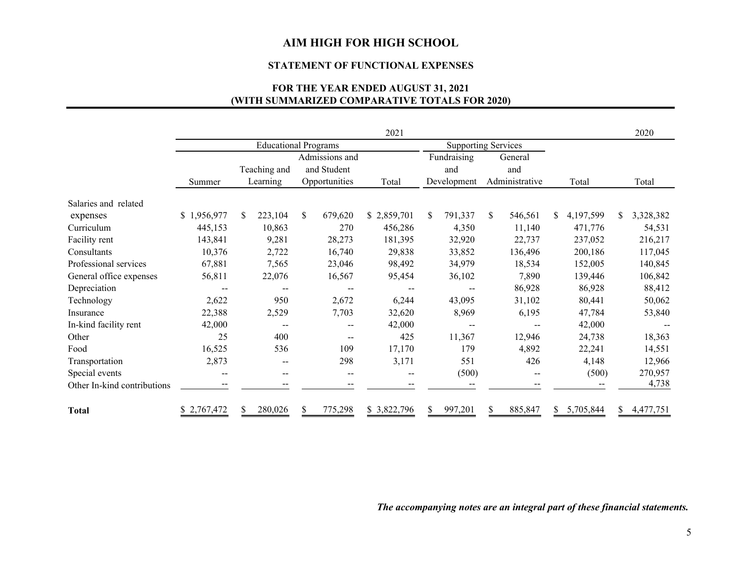#### **STATEMENT OF FUNCTIONAL EXPENSES**

## **(WITH SUMMARIZED COMPARATIVE TOTALS FOR 2020) FOR THE YEAR ENDED AUGUST 31, 2021**

|                             |             |                             |    |                | 2021                     |     |                            |    |                |    |           |    | 2020      |
|-----------------------------|-------------|-----------------------------|----|----------------|--------------------------|-----|----------------------------|----|----------------|----|-----------|----|-----------|
|                             |             | <b>Educational Programs</b> |    |                |                          |     | <b>Supporting Services</b> |    |                |    |           |    |           |
|                             |             |                             |    | Admissions and |                          |     | Fundraising                |    | General        |    |           |    |           |
|                             |             | Teaching and                |    | and Student    |                          |     | and                        |    | and            |    |           |    |           |
|                             | Summer      | Learning                    |    | Opportunities  | Total                    |     | Development                |    | Administrative |    | Total     |    | Total     |
| Salaries and related        |             |                             |    |                |                          |     |                            |    |                |    |           |    |           |
| expenses                    | \$1,956,977 | 223,104<br><sup>\$</sup>    | \$ | 679,620        | \$2,859,701              | \$. | 791,337                    | \$ | 546,561        | S. | 4,197,599 | S. | 3,328,382 |
| Curriculum                  | 445,153     | 10,863                      |    | 270            | 456,286                  |     | 4,350                      |    | 11,140         |    | 471,776   |    | 54,531    |
| Facility rent               | 143,841     | 9,281                       |    | 28,273         | 181,395                  |     | 32,920                     |    | 22,737         |    | 237,052   |    | 216,217   |
| Consultants                 | 10,376      | 2,722                       |    | 16,740         | 29,838                   |     | 33,852                     |    | 136,496        |    | 200,186   |    | 117,045   |
| Professional services       | 67,881      | 7,565                       |    | 23,046         | 98,492                   |     | 34,979                     |    | 18,534         |    | 152,005   |    | 140,845   |
| General office expenses     | 56,811      | 22,076                      |    | 16,567         | 95,454                   |     | 36,102                     |    | 7,890          |    | 139,446   |    | 106,842   |
| Depreciation                | $-$         | $\overline{\phantom{m}}$    |    |                |                          |     |                            |    | 86,928         |    | 86,928    |    | 88,412    |
| Technology                  | 2,622       | 950                         |    | 2,672          | 6,244                    |     | 43,095                     |    | 31,102         |    | 80,441    |    | 50,062    |
| Insurance                   | 22,388      | 2,529                       |    | 7,703          | 32,620                   |     | 8,969                      |    | 6,195          |    | 47,784    |    | 53,840    |
| In-kind facility rent       | 42,000      |                             |    |                | 42,000                   |     |                            |    |                |    | 42,000    |    |           |
| Other                       | 25          | 400                         |    |                | 425                      |     | 11,367                     |    | 12,946         |    | 24,738    |    | 18,363    |
| Food                        | 16,525      | 536                         |    | 109            | 17,170                   |     | 179                        |    | 4,892          |    | 22,241    |    | 14,551    |
| Transportation              | 2,873       |                             |    | 298            | 3,171                    |     | 551                        |    | 426            |    | 4,148     |    | 12,966    |
| Special events              | --          | $- -$                       |    | --             | $\overline{\phantom{m}}$ |     | (500)                      |    |                |    | (500)     |    | 270,957   |
| Other In-kind contributions |             |                             |    |                |                          |     |                            |    |                |    |           |    | 4,738     |
| <b>Total</b>                | \$2,767,472 | 280,026                     | S  | 775,298        | \$3,822,796              | \$. | 997,201                    | S  | 885,847        | S. | 5,705,844 | S. | 4,477,751 |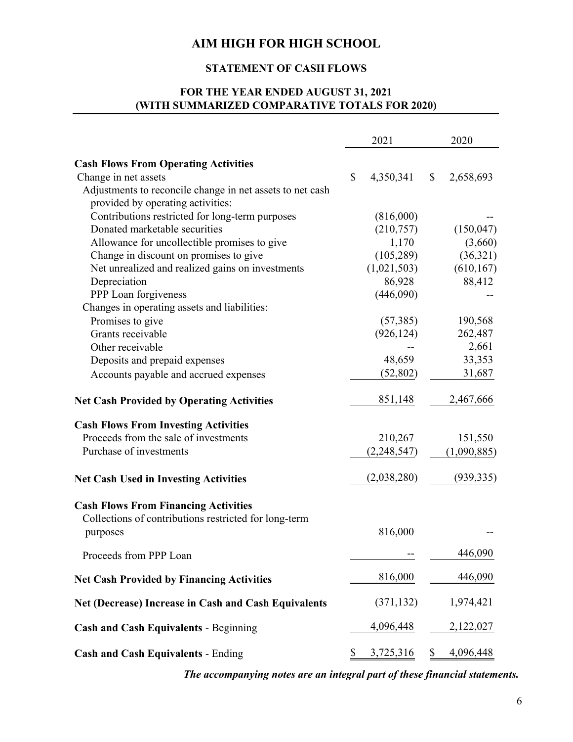## **STATEMENT OF CASH FLOWS**

## **FOR THE YEAR ENDED AUGUST 31, 2021 (WITH SUMMARIZED COMPARATIVE TOTALS FOR 2020)**

|                                                             |    | 2021          | 2020            |
|-------------------------------------------------------------|----|---------------|-----------------|
| <b>Cash Flows From Operating Activities</b>                 |    |               |                 |
| Change in net assets                                        | \$ | 4,350,341     | \$<br>2,658,693 |
| Adjustments to reconcile change in net assets to net cash   |    |               |                 |
| provided by operating activities:                           |    |               |                 |
| Contributions restricted for long-term purposes             |    | (816,000)     |                 |
| Donated marketable securities                               |    | (210,757)     | (150, 047)      |
| Allowance for uncollectible promises to give                |    | 1,170         | (3,660)         |
| Change in discount on promises to give                      |    | (105, 289)    | (36,321)        |
| Net unrealized and realized gains on investments            |    | (1,021,503)   | (610, 167)      |
| Depreciation                                                |    | 86,928        | 88,412          |
| PPP Loan forgiveness                                        |    | (446,090)     |                 |
| Changes in operating assets and liabilities:                |    |               |                 |
| Promises to give                                            |    | (57, 385)     | 190,568         |
| Grants receivable                                           |    | (926, 124)    | 262,487         |
| Other receivable                                            |    |               | 2,661           |
| Deposits and prepaid expenses                               |    | 48,659        | 33,353          |
| Accounts payable and accrued expenses                       |    | (52, 802)     | 31,687          |
| <b>Net Cash Provided by Operating Activities</b>            |    | 851,148       | 2,467,666       |
| <b>Cash Flows From Investing Activities</b>                 |    |               |                 |
| Proceeds from the sale of investments                       |    | 210,267       | 151,550         |
| Purchase of investments                                     |    | (2, 248, 547) | (1,090,885)     |
| <b>Net Cash Used in Investing Activities</b>                |    | (2,038,280)   | (939, 335)      |
| <b>Cash Flows From Financing Activities</b>                 |    |               |                 |
| Collections of contributions restricted for long-term       |    |               |                 |
| purposes                                                    |    | 816,000       |                 |
| Proceeds from PPP Loan                                      |    |               | 446,090         |
| <b>Net Cash Provided by Financing Activities</b>            |    | 816,000       | 446,090         |
| <b>Net (Decrease) Increase in Cash and Cash Equivalents</b> |    | (371, 132)    | 1,974,421       |
| <b>Cash and Cash Equivalents - Beginning</b>                |    | 4,096,448     | 2,122,027       |
|                                                             | S  |               | \$<br>4,096,448 |
| <b>Cash and Cash Equivalents - Ending</b>                   |    | 3,725,316     |                 |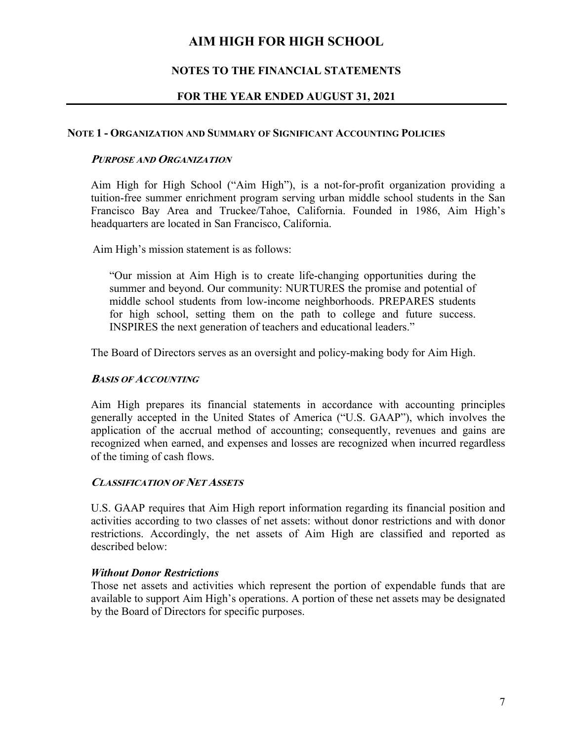## **NOTES TO THE FINANCIAL STATEMENTS**

## **FOR THE YEAR ENDED AUGUST 31, 2021**

### **NOTE 1 - ORGANIZATION AND SUMMARY OF SIGNIFICANT ACCOUNTING POLICIES**

#### **PURPOSE AND ORGANIZATION**

Aim High for High School ("Aim High"), is a not-for-profit organization providing a tuition-free summer enrichment program serving urban middle school students in the San Francisco Bay Area and Truckee/Tahoe, California. Founded in 1986, Aim High's headquarters are located in San Francisco, California.

Aim High's mission statement is as follows:

"Our mission at Aim High is to create life-changing opportunities during the summer and beyond. Our community: NURTURES the promise and potential of middle school students from low-income neighborhoods. PREPARES students for high school, setting them on the path to college and future success. INSPIRES the next generation of teachers and educational leaders."

The Board of Directors serves as an oversight and policy-making body for Aim High.

## **BASIS OF ACCOUNTING**

Aim High prepares its financial statements in accordance with accounting principles generally accepted in the United States of America ("U.S. GAAP"), which involves the application of the accrual method of accounting; consequently, revenues and gains are recognized when earned, and expenses and losses are recognized when incurred regardless of the timing of cash flows.

#### **CLASSIFICATION OF NET ASSETS**

U.S. GAAP requires that Aim High report information regarding its financial position and activities according to two classes of net assets: without donor restrictions and with donor restrictions. Accordingly, the net assets of Aim High are classified and reported as described below:

## *Without Donor Restrictions*

Those net assets and activities which represent the portion of expendable funds that are available to support Aim High's operations. A portion of these net assets may be designated by the Board of Directors for specific purposes.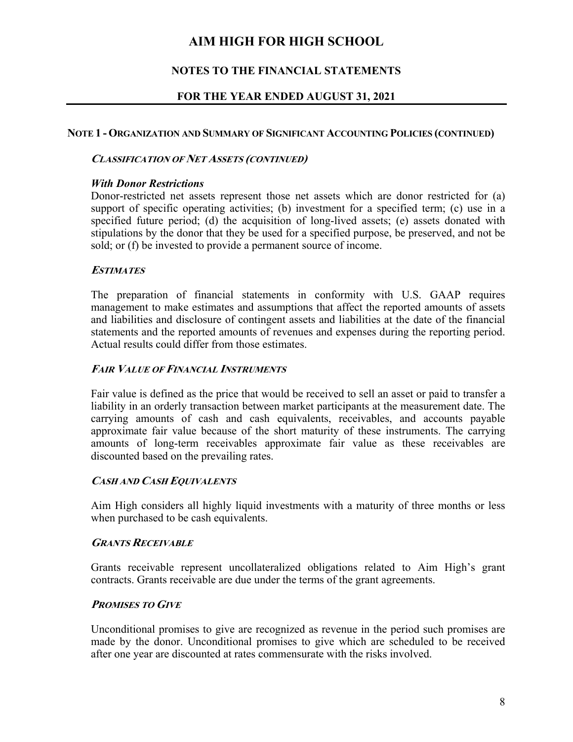## **NOTES TO THE FINANCIAL STATEMENTS**

## **FOR THE YEAR ENDED AUGUST 31, 2021**

### **NOTE 1 - ORGANIZATION AND SUMMARY OF SIGNIFICANT ACCOUNTING POLICIES (CONTINUED)**

### **CLASSIFICATION OF NET ASSETS (CONTINUED)**

### *With Donor Restrictions*

Donor-restricted net assets represent those net assets which are donor restricted for (a) support of specific operating activities; (b) investment for a specified term; (c) use in a specified future period; (d) the acquisition of long-lived assets; (e) assets donated with stipulations by the donor that they be used for a specified purpose, be preserved, and not be sold; or (f) be invested to provide a permanent source of income.

## **ESTIMATES**

The preparation of financial statements in conformity with U.S. GAAP requires management to make estimates and assumptions that affect the reported amounts of assets and liabilities and disclosure of contingent assets and liabilities at the date of the financial statements and the reported amounts of revenues and expenses during the reporting period. Actual results could differ from those estimates.

### **FAIR VALUE OF FINANCIAL INSTRUMENTS**

Fair value is defined as the price that would be received to sell an asset or paid to transfer a liability in an orderly transaction between market participants at the measurement date. The carrying amounts of cash and cash equivalents, receivables, and accounts payable approximate fair value because of the short maturity of these instruments. The carrying amounts of long-term receivables approximate fair value as these receivables are discounted based on the prevailing rates.

#### **CASH AND CASH EQUIVALENTS**

Aim High considers all highly liquid investments with a maturity of three months or less when purchased to be cash equivalents.

#### **GRANTS RECEIVABLE**

Grants receivable represent uncollateralized obligations related to Aim High's grant contracts. Grants receivable are due under the terms of the grant agreements.

## **PROMISES TO GIVE**

Unconditional promises to give are recognized as revenue in the period such promises are made by the donor. Unconditional promises to give which are scheduled to be received after one year are discounted at rates commensurate with the risks involved.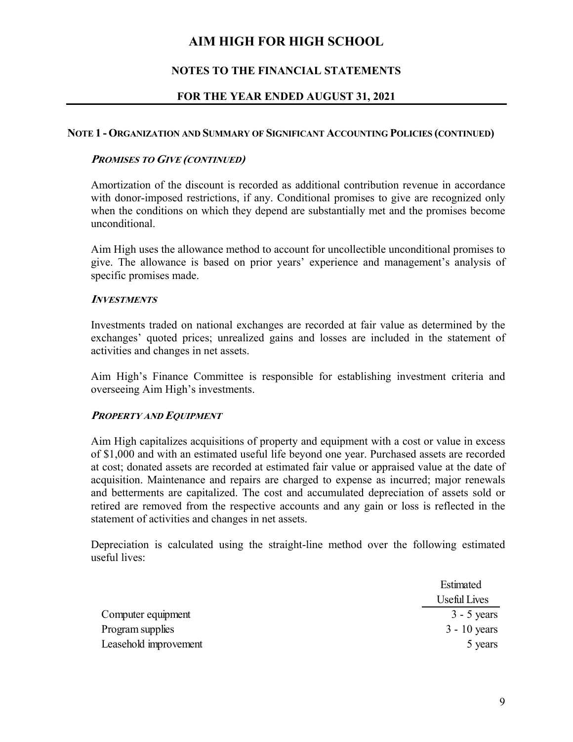## **NOTES TO THE FINANCIAL STATEMENTS**

## **FOR THE YEAR ENDED AUGUST 31, 2021**

#### **NOTE 1 - ORGANIZATION AND SUMMARY OF SIGNIFICANT ACCOUNTING POLICIES (CONTINUED)**

### **PROMISES TO GIVE (CONTINUED)**

Amortization of the discount is recorded as additional contribution revenue in accordance with donor-imposed restrictions, if any. Conditional promises to give are recognized only when the conditions on which they depend are substantially met and the promises become unconditional.

Aim High uses the allowance method to account for uncollectible unconditional promises to give. The allowance is based on prior years' experience and management's analysis of specific promises made.

#### **INVESTMENTS**

Investments traded on national exchanges are recorded at fair value as determined by the exchanges' quoted prices; unrealized gains and losses are included in the statement of activities and changes in net assets.

Aim High's Finance Committee is responsible for establishing investment criteria and overseeing Aim High's investments.

## **PROPERTY AND EQUIPMENT**

Aim High capitalizes acquisitions of property and equipment with a cost or value in excess of \$1,000 and with an estimated useful life beyond one year. Purchased assets are recorded at cost; donated assets are recorded at estimated fair value or appraised value at the date of acquisition. Maintenance and repairs are charged to expense as incurred; major renewals and betterments are capitalized. The cost and accumulated depreciation of assets sold or retired are removed from the respective accounts and any gain or loss is reflected in the statement of activities and changes in net assets.

Depreciation is calculated using the straight-line method over the following estimated useful lives:

|                       | Estimated      |
|-----------------------|----------------|
|                       | Useful Lives   |
| Computer equipment    | $3 - 5$ years  |
| Program supplies      | $3 - 10$ years |
| Leasehold improvement | 5 years        |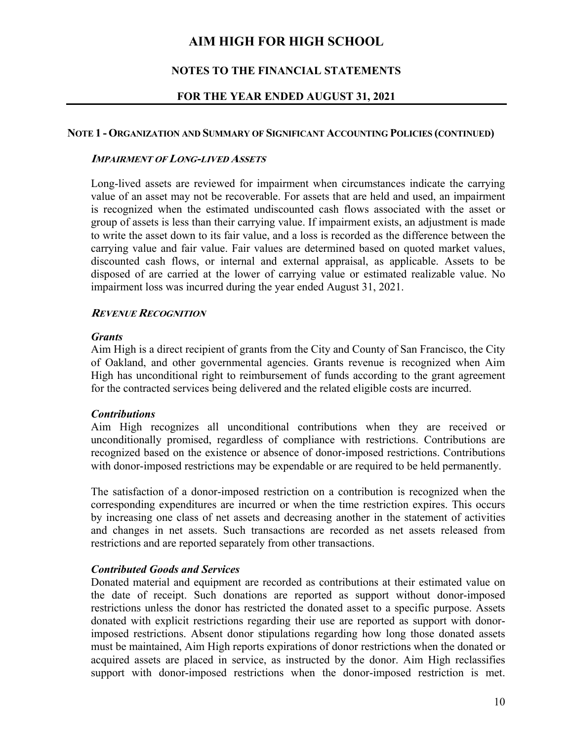## **NOTES TO THE FINANCIAL STATEMENTS**

## **FOR THE YEAR ENDED AUGUST 31, 2021**

#### **NOTE 1 - ORGANIZATION AND SUMMARY OF SIGNIFICANT ACCOUNTING POLICIES (CONTINUED)**

#### **IMPAIRMENT OF LONG-LIVED ASSETS**

Long-lived assets are reviewed for impairment when circumstances indicate the carrying value of an asset may not be recoverable. For assets that are held and used, an impairment is recognized when the estimated undiscounted cash flows associated with the asset or group of assets is less than their carrying value. If impairment exists, an adjustment is made to write the asset down to its fair value, and a loss is recorded as the difference between the carrying value and fair value. Fair values are determined based on quoted market values, discounted cash flows, or internal and external appraisal, as applicable. Assets to be disposed of are carried at the lower of carrying value or estimated realizable value. No impairment loss was incurred during the year ended August 31, 2021.

## **REVENUE RECOGNITION**

#### *Grants*

Aim High is a direct recipient of grants from the City and County of San Francisco, the City of Oakland, and other governmental agencies. Grants revenue is recognized when Aim High has unconditional right to reimbursement of funds according to the grant agreement for the contracted services being delivered and the related eligible costs are incurred.

## *Contributions*

Aim High recognizes all unconditional contributions when they are received or unconditionally promised, regardless of compliance with restrictions. Contributions are recognized based on the existence or absence of donor-imposed restrictions. Contributions with donor-imposed restrictions may be expendable or are required to be held permanently.

The satisfaction of a donor-imposed restriction on a contribution is recognized when the corresponding expenditures are incurred or when the time restriction expires. This occurs by increasing one class of net assets and decreasing another in the statement of activities and changes in net assets. Such transactions are recorded as net assets released from restrictions and are reported separately from other transactions.

## *Contributed Goods and Services*

Donated material and equipment are recorded as contributions at their estimated value on the date of receipt. Such donations are reported as support without donor-imposed restrictions unless the donor has restricted the donated asset to a specific purpose. Assets donated with explicit restrictions regarding their use are reported as support with donorimposed restrictions. Absent donor stipulations regarding how long those donated assets must be maintained, Aim High reports expirations of donor restrictions when the donated or acquired assets are placed in service, as instructed by the donor. Aim High reclassifies support with donor-imposed restrictions when the donor-imposed restriction is met.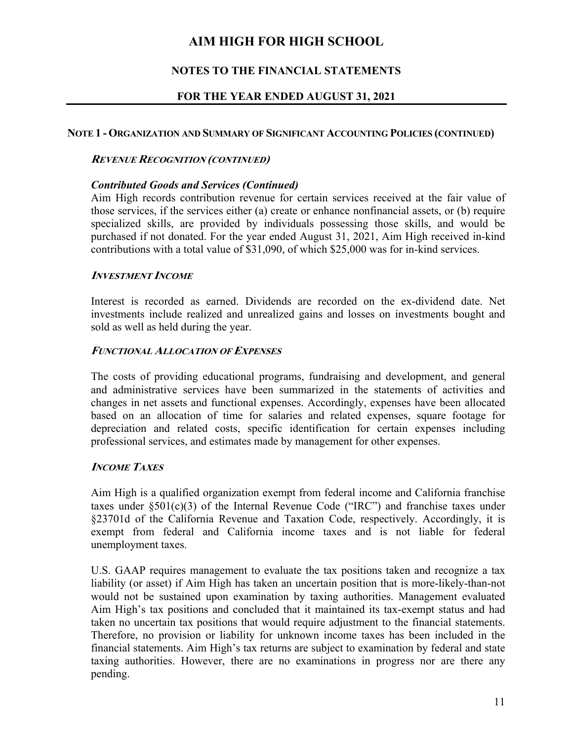## **NOTES TO THE FINANCIAL STATEMENTS**

## **FOR THE YEAR ENDED AUGUST 31, 2021**

## **NOTE 1 - ORGANIZATION AND SUMMARY OF SIGNIFICANT ACCOUNTING POLICIES (CONTINUED)**

## **REVENUE RECOGNITION (CONTINUED)**

## *Contributed Goods and Services (Continued)*

Aim High records contribution revenue for certain services received at the fair value of those services, if the services either (a) create or enhance nonfinancial assets, or (b) require specialized skills, are provided by individuals possessing those skills, and would be purchased if not donated. For the year ended August 31, 2021, Aim High received in-kind contributions with a total value of \$31,090, of which \$25,000 was for in-kind services.

## **INVESTMENT INCOME**

Interest is recorded as earned. Dividends are recorded on the ex-dividend date. Net investments include realized and unrealized gains and losses on investments bought and sold as well as held during the year.

## **FUNCTIONAL ALLOCATION OF EXPENSES**

The costs of providing educational programs, fundraising and development, and general and administrative services have been summarized in the statements of activities and changes in net assets and functional expenses. Accordingly, expenses have been allocated based on an allocation of time for salaries and related expenses, square footage for depreciation and related costs, specific identification for certain expenses including professional services, and estimates made by management for other expenses.

## **INCOME TAXES**

Aim High is a qualified organization exempt from federal income and California franchise taxes under  $\S501(c)(3)$  of the Internal Revenue Code ("IRC") and franchise taxes under §23701d of the California Revenue and Taxation Code, respectively. Accordingly, it is exempt from federal and California income taxes and is not liable for federal unemployment taxes.

U.S. GAAP requires management to evaluate the tax positions taken and recognize a tax liability (or asset) if Aim High has taken an uncertain position that is more-likely-than-not would not be sustained upon examination by taxing authorities. Management evaluated Aim High's tax positions and concluded that it maintained its tax-exempt status and had taken no uncertain tax positions that would require adjustment to the financial statements. Therefore, no provision or liability for unknown income taxes has been included in the financial statements. Aim High's tax returns are subject to examination by federal and state taxing authorities. However, there are no examinations in progress nor are there any pending.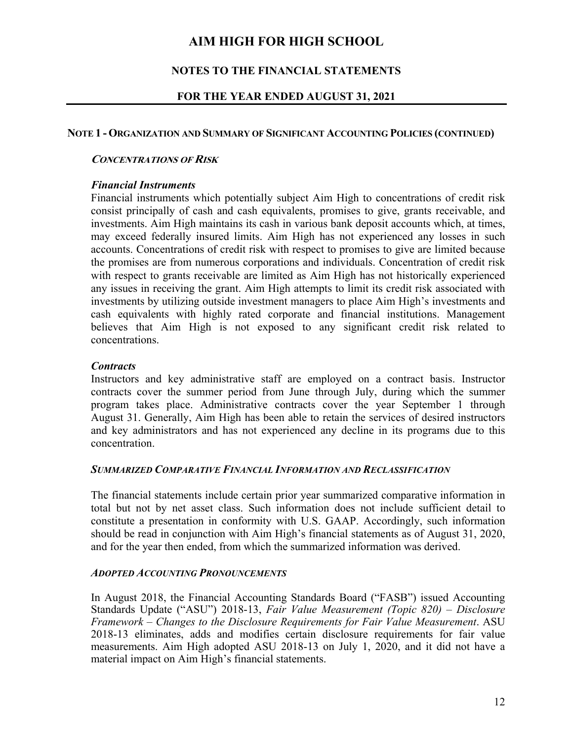## **NOTES TO THE FINANCIAL STATEMENTS**

## **FOR THE YEAR ENDED AUGUST 31, 2021**

## **NOTE 1 - ORGANIZATION AND SUMMARY OF SIGNIFICANT ACCOUNTING POLICIES (CONTINUED)**

### **CONCENTRATIONS OF RISK**

### *Financial Instruments*

Financial instruments which potentially subject Aim High to concentrations of credit risk consist principally of cash and cash equivalents, promises to give, grants receivable, and investments. Aim High maintains its cash in various bank deposit accounts which, at times, may exceed federally insured limits. Aim High has not experienced any losses in such accounts. Concentrations of credit risk with respect to promises to give are limited because the promises are from numerous corporations and individuals. Concentration of credit risk with respect to grants receivable are limited as Aim High has not historically experienced any issues in receiving the grant. Aim High attempts to limit its credit risk associated with investments by utilizing outside investment managers to place Aim High's investments and cash equivalents with highly rated corporate and financial institutions. Management believes that Aim High is not exposed to any significant credit risk related to concentrations.

### *Contracts*

Instructors and key administrative staff are employed on a contract basis. Instructor contracts cover the summer period from June through July, during which the summer program takes place. Administrative contracts cover the year September 1 through August 31. Generally, Aim High has been able to retain the services of desired instructors and key administrators and has not experienced any decline in its programs due to this concentration.

### *SUMMARIZED COMPARATIVE FINANCIAL INFORMATION AND RECLASSIFICATION*

The financial statements include certain prior year summarized comparative information in total but not by net asset class. Such information does not include sufficient detail to constitute a presentation in conformity with U.S. GAAP. Accordingly, such information should be read in conjunction with Aim High's financial statements as of August 31, 2020, and for the year then ended, from which the summarized information was derived.

## *ADOPTED ACCOUNTING PRONOUNCEMENTS*

In August 2018, the Financial Accounting Standards Board ("FASB") issued Accounting Standards Update ("ASU") 2018-13, *Fair Value Measurement (Topic 820) – Disclosure Framework – Changes to the Disclosure Requirements for Fair Value Measurement*. ASU 2018-13 eliminates, adds and modifies certain disclosure requirements for fair value measurements. Aim High adopted ASU 2018-13 on July 1, 2020, and it did not have a material impact on Aim High's financial statements.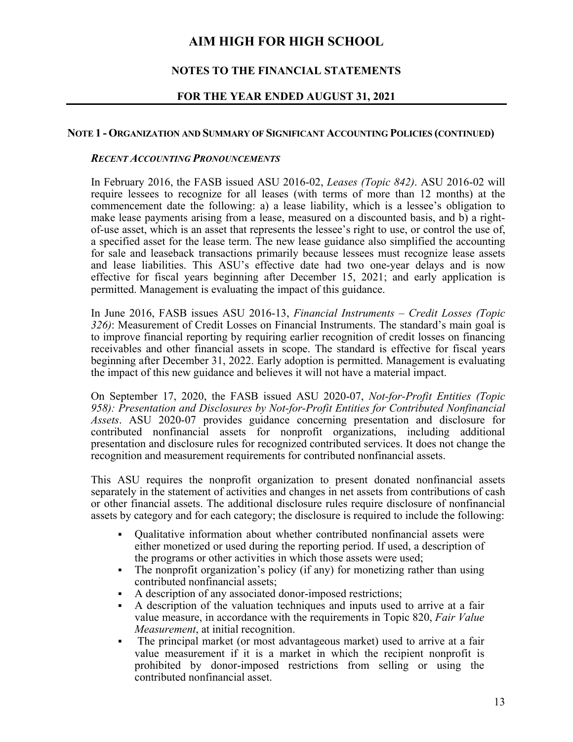## **NOTES TO THE FINANCIAL STATEMENTS**

## **FOR THE YEAR ENDED AUGUST 31, 2021**

#### **NOTE 1 - ORGANIZATION AND SUMMARY OF SIGNIFICANT ACCOUNTING POLICIES (CONTINUED)**

#### *RECENT ACCOUNTING PRONOUNCEMENTS*

In February 2016, the FASB issued ASU 2016-02, *Leases (Topic 842)*. ASU 2016-02 will require lessees to recognize for all leases (with terms of more than 12 months) at the commencement date the following: a) a lease liability, which is a lessee's obligation to make lease payments arising from a lease, measured on a discounted basis, and b) a rightof-use asset, which is an asset that represents the lessee's right to use, or control the use of, a specified asset for the lease term. The new lease guidance also simplified the accounting for sale and leaseback transactions primarily because lessees must recognize lease assets and lease liabilities. This ASU's effective date had two one-year delays and is now effective for fiscal years beginning after December 15, 2021; and early application is permitted. Management is evaluating the impact of this guidance.

In June 2016, FASB issues ASU 2016-13, *Financial Instruments – Credit Losses (Topic 326)*: Measurement of Credit Losses on Financial Instruments. The standard's main goal is to improve financial reporting by requiring earlier recognition of credit losses on financing receivables and other financial assets in scope. The standard is effective for fiscal years beginning after December 31, 2022. Early adoption is permitted. Management is evaluating the impact of this new guidance and believes it will not have a material impact.

On September 17, 2020, the FASB issued ASU 2020-07, *Not-for-Profit Entities (Topic 958): Presentation and Disclosures by Not-for-Profit Entities for Contributed Nonfinancial Assets*. ASU 2020-07 provides guidance concerning presentation and disclosure for contributed nonfinancial assets for nonprofit organizations, including additional presentation and disclosure rules for recognized contributed services. It does not change the recognition and measurement requirements for contributed nonfinancial assets.

This ASU requires the nonprofit organization to present donated nonfinancial assets separately in the statement of activities and changes in net assets from contributions of cash or other financial assets. The additional disclosure rules require disclosure of nonfinancial assets by category and for each category; the disclosure is required to include the following:

- Qualitative information about whether contributed nonfinancial assets were either monetized or used during the reporting period. If used, a description of the programs or other activities in which those assets were used;
- The nonprofit organization's policy (if any) for monetizing rather than using contributed nonfinancial assets;
- A description of any associated donor-imposed restrictions;
- A description of the valuation techniques and inputs used to arrive at a fair value measure, in accordance with the requirements in Topic 820, *Fair Value Measurement*, at initial recognition.
- The principal market (or most advantageous market) used to arrive at a fair value measurement if it is a market in which the recipient nonprofit is prohibited by donor-imposed restrictions from selling or using the contributed nonfinancial asset.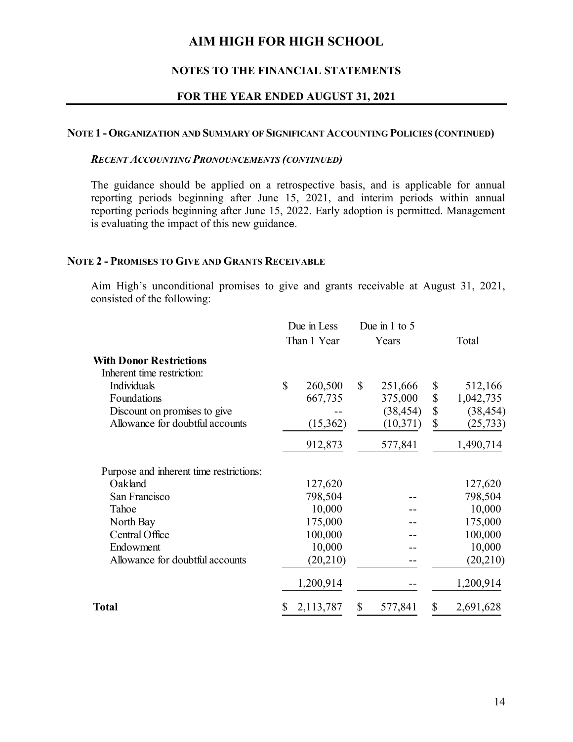## **NOTES TO THE FINANCIAL STATEMENTS**

#### **FOR THE YEAR ENDED AUGUST 31, 2021**

#### **NOTE 1 - ORGANIZATION AND SUMMARY OF SIGNIFICANT ACCOUNTING POLICIES (CONTINUED)**

#### *RECENT ACCOUNTING PRONOUNCEMENTS (CONTINUED)*

The guidance should be applied on a retrospective basis, and is applicable for annual reporting periods beginning after June 15, 2021, and interim periods within annual reporting periods beginning after June 15, 2022. Early adoption is permitted. Management is evaluating the impact of this new guidance.

### **NOTE 2 - PROMISES TO GIVE AND GRANTS RECEIVABLE**

Aim High's unconditional promises to give and grants receivable at August 31, 2021, consisted of the following:

|                                                              | Due in Less  |             | Due in 1 to 5 |                 |
|--------------------------------------------------------------|--------------|-------------|---------------|-----------------|
|                                                              |              | Than 1 Year | Years         | Total           |
| <b>With Donor Restrictions</b><br>Inherent time restriction: |              |             |               |                 |
| Individuals                                                  | $\mathbb{S}$ | 260,500     | \$<br>251,666 | \$<br>512,166   |
| Foundations                                                  |              | 667,735     | 375,000       | \$<br>1,042,735 |
| Discount on promises to give                                 |              |             | (38, 454)     | \$<br>(38, 454) |
| Allowance for doubtful accounts                              |              | (15,362)    | (10, 371)     | \$<br>(25, 733) |
|                                                              |              | 912,873     | 577,841       | 1,490,714       |
| Purpose and inherent time restrictions:                      |              |             |               |                 |
| Oakland                                                      |              | 127,620     |               | 127,620         |
| San Francisco                                                |              | 798,504     |               | 798,504         |
| Tahoe                                                        |              | 10,000      |               | 10,000          |
| North Bay                                                    |              | 175,000     |               | 175,000         |
| Central Office                                               |              | 100,000     |               | 100,000         |
| Endowment                                                    |              | 10,000      |               | 10,000          |
| Allowance for doubtful accounts                              |              | (20, 210)   |               | (20,210)        |
|                                                              |              | 1,200,914   |               | 1,200,914       |
| Total                                                        | \$           | 2,113,787   | \$<br>577,841 | \$<br>2,691,628 |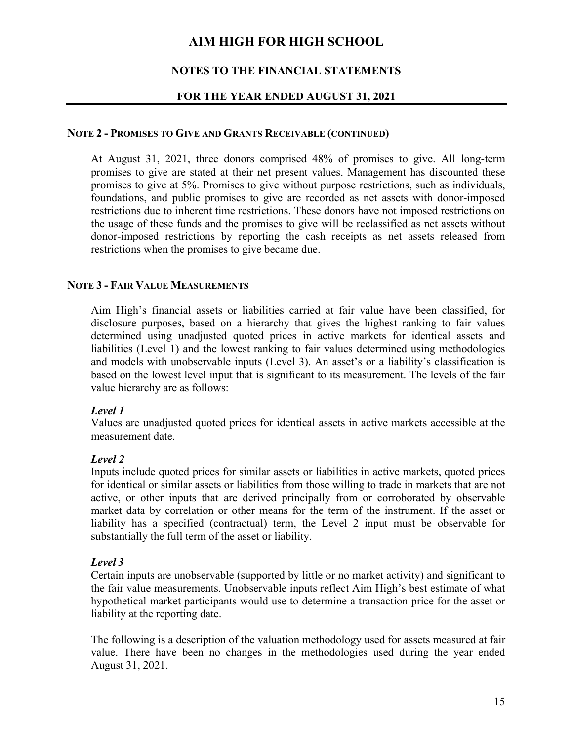## **NOTES TO THE FINANCIAL STATEMENTS**

## **FOR THE YEAR ENDED AUGUST 31, 2021**

#### **NOTE 2 - PROMISES TO GIVE AND GRANTS RECEIVABLE (CONTINUED)**

At August 31, 2021, three donors comprised 48% of promises to give. All long-term promises to give are stated at their net present values. Management has discounted these promises to give at 5%. Promises to give without purpose restrictions, such as individuals, foundations, and public promises to give are recorded as net assets with donor-imposed restrictions due to inherent time restrictions. These donors have not imposed restrictions on the usage of these funds and the promises to give will be reclassified as net assets without donor-imposed restrictions by reporting the cash receipts as net assets released from restrictions when the promises to give became due.

### **NOTE 3 - FAIR VALUE MEASUREMENTS**

Aim High's financial assets or liabilities carried at fair value have been classified, for disclosure purposes, based on a hierarchy that gives the highest ranking to fair values determined using unadjusted quoted prices in active markets for identical assets and liabilities (Level 1) and the lowest ranking to fair values determined using methodologies and models with unobservable inputs (Level 3). An asset's or a liability's classification is based on the lowest level input that is significant to its measurement. The levels of the fair value hierarchy are as follows:

## *Level 1*

Values are unadjusted quoted prices for identical assets in active markets accessible at the measurement date.

## *Level 2*

Inputs include quoted prices for similar assets or liabilities in active markets, quoted prices for identical or similar assets or liabilities from those willing to trade in markets that are not active, or other inputs that are derived principally from or corroborated by observable market data by correlation or other means for the term of the instrument. If the asset or liability has a specified (contractual) term, the Level 2 input must be observable for substantially the full term of the asset or liability.

## *Level 3*

Certain inputs are unobservable (supported by little or no market activity) and significant to the fair value measurements. Unobservable inputs reflect Aim High's best estimate of what hypothetical market participants would use to determine a transaction price for the asset or liability at the reporting date.

The following is a description of the valuation methodology used for assets measured at fair value. There have been no changes in the methodologies used during the year ended August 31, 2021.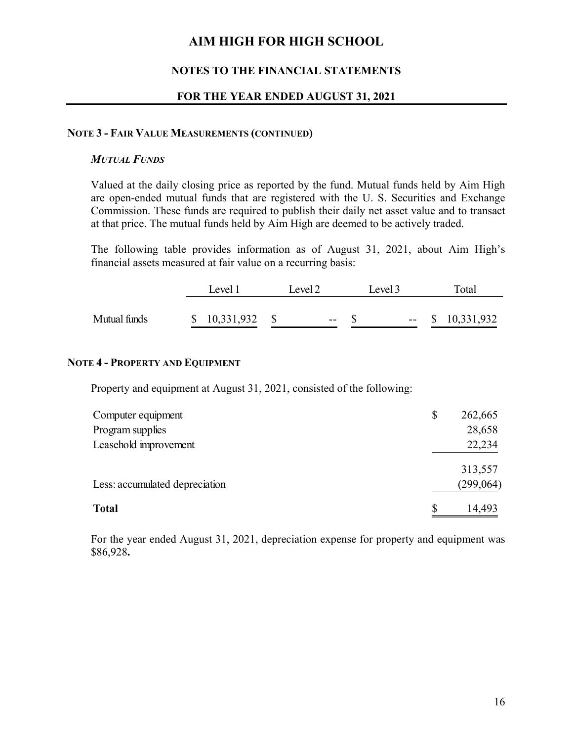## **NOTES TO THE FINANCIAL STATEMENTS**

## **FOR THE YEAR ENDED AUGUST 31, 2021**

#### **NOTE 3 - FAIR VALUE MEASUREMENTS (CONTINUED)**

### *MUTUAL FUNDS*

Valued at the daily closing price as reported by the fund. Mutual funds held by Aim High are open-ended mutual funds that are registered with the U. S. Securities and Exchange Commission. These funds are required to publish their daily net asset value and to transact at that price. The mutual funds held by Aim High are deemed to be actively traded.

The following table provides information as of August 31, 2021, about Aim High's financial assets measured at fair value on a recurring basis:

|              | Level 1      | Level 2 | Level 3 |  |  | Total             |
|--------------|--------------|---------|---------|--|--|-------------------|
|              |              |         |         |  |  |                   |
| Mutual funds | \$10,331,932 | $- -$   |         |  |  | $-$ \$ 10,331,932 |

## **NOTE 4 - PROPERTY AND EQUIPMENT**

Property and equipment at August 31, 2021, consisted of the following:

| Computer equipment             | \$<br>262,665 |
|--------------------------------|---------------|
| Program supplies               | 28,658        |
| Leasehold improvement          | 22,234        |
|                                | 313,557       |
| Less: accumulated depreciation | (299, 064)    |
| <b>Total</b>                   | S<br>14,493   |

For the year ended August 31, 2021, depreciation expense for property and equipment was \$86,928**.**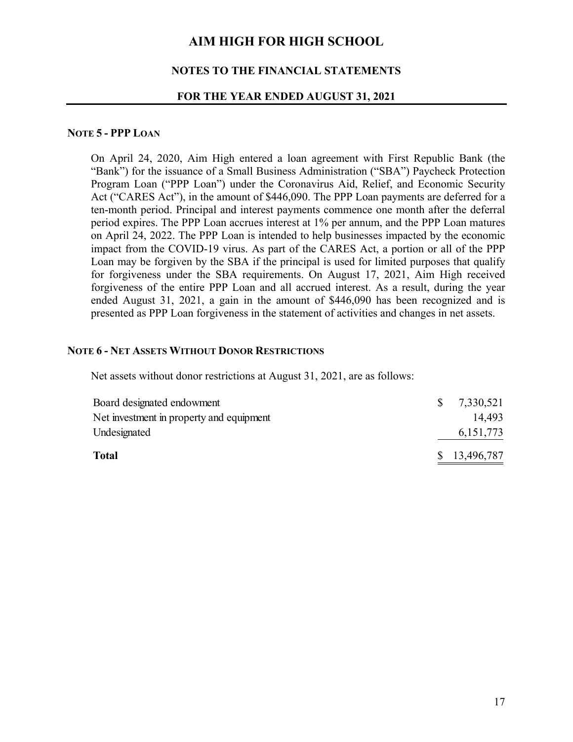### **NOTES TO THE FINANCIAL STATEMENTS**

#### **FOR THE YEAR ENDED AUGUST 31, 2021**

#### **NOTE 5 - PPP LOAN**

On April 24, 2020, Aim High entered a loan agreement with First Republic Bank (the "Bank") for the issuance of a Small Business Administration ("SBA") Paycheck Protection Program Loan ("PPP Loan") under the Coronavirus Aid, Relief, and Economic Security Act ("CARES Act"), in the amount of \$446,090. The PPP Loan payments are deferred for a ten-month period. Principal and interest payments commence one month after the deferral period expires. The PPP Loan accrues interest at 1% per annum, and the PPP Loan matures on April 24, 2022. The PPP Loan is intended to help businesses impacted by the economic impact from the COVID-19 virus. As part of the CARES Act, a portion or all of the PPP Loan may be forgiven by the SBA if the principal is used for limited purposes that qualify for forgiveness under the SBA requirements. On August 17, 2021, Aim High received forgiveness of the entire PPP Loan and all accrued interest. As a result, during the year ended August 31, 2021, a gain in the amount of \$446,090 has been recognized and is presented as PPP Loan forgiveness in the statement of activities and changes in net assets.

#### **NOTE 6 - NET ASSETS WITHOUT DONOR RESTRICTIONS**

Net assets without donor restrictions at August 31, 2021, are as follows:

| <b>Total</b>                             |    | \$13,496,787 |
|------------------------------------------|----|--------------|
| Undesignated                             |    | 6, 151, 773  |
| Net investment in property and equipment |    | 14.493       |
| Board designated endowment               | S. | 7,330,521    |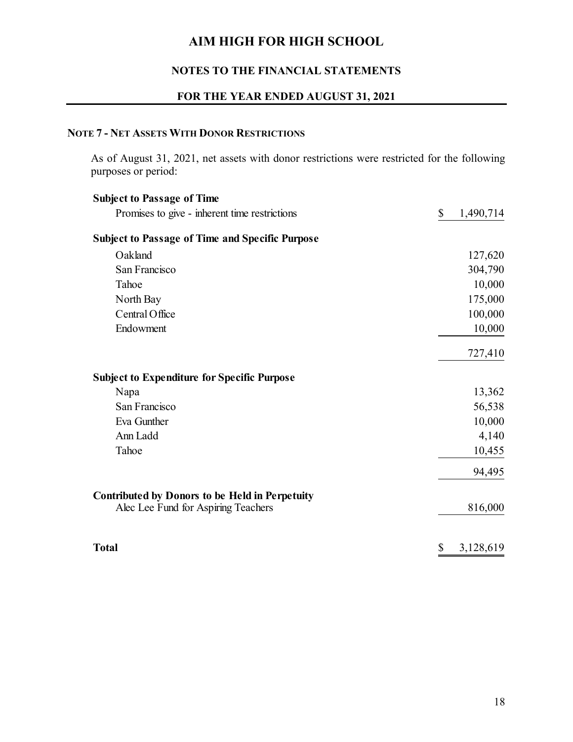## **NOTES TO THE FINANCIAL STATEMENTS**

## **FOR THE YEAR ENDED AUGUST 31, 2021**

## **NOTE 7 - NET ASSETS WITH DONOR RESTRICTIONS**

As of August 31, 2021, net assets with donor restrictions were restricted for the following purposes or period:

| <b>Subject to Passage of Time</b>                      |                 |
|--------------------------------------------------------|-----------------|
| Promises to give - inherent time restrictions          | \$<br>1,490,714 |
| <b>Subject to Passage of Time and Specific Purpose</b> |                 |
| Oakland                                                | 127,620         |
| San Francisco                                          | 304,790         |
| Tahoe                                                  | 10,000          |
| North Bay                                              | 175,000         |
| Central Office                                         | 100,000         |
| Endowment                                              | 10,000          |
|                                                        | 727,410         |
| <b>Subject to Expenditure for Specific Purpose</b>     |                 |
| Napa                                                   | 13,362          |
| San Francisco                                          | 56,538          |
| Eva Gunther                                            | 10,000          |
| Ann Ladd                                               | 4,140           |
| Tahoe                                                  | 10,455          |
|                                                        | 94,495          |
| <b>Contributed by Donors to be Held in Perpetuity</b>  |                 |
| Alec Lee Fund for Aspiring Teachers                    | 816,000         |
| <b>Total</b>                                           | \$<br>3,128,619 |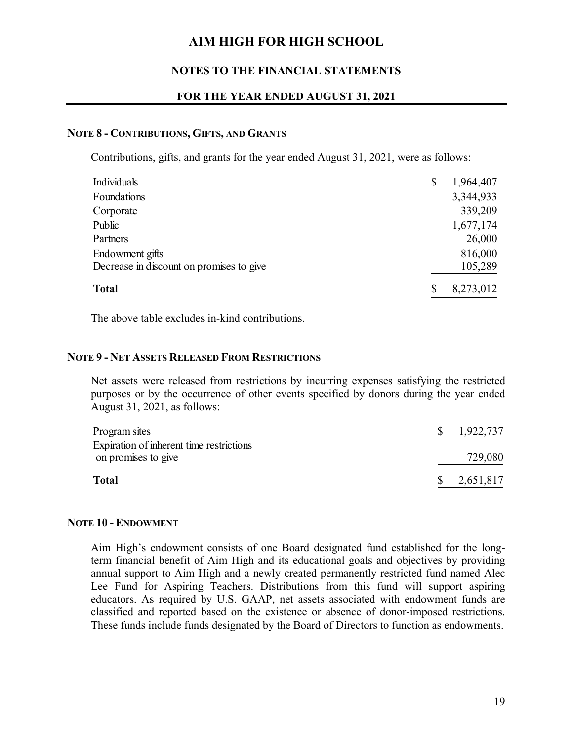## **NOTES TO THE FINANCIAL STATEMENTS**

## **FOR THE YEAR ENDED AUGUST 31, 2021**

#### **NOTE 8 - CONTRIBUTIONS, GIFTS, AND GRANTS**

Contributions, gifts, and grants for the year ended August 31, 2021, were as follows:

| Individuals                              | S | 1,964,407 |
|------------------------------------------|---|-----------|
| Foundations                              |   | 3,344,933 |
| Corporate                                |   | 339,209   |
| Public                                   |   | 1,677,174 |
| Partners                                 |   | 26,000    |
| Endowment gifts                          |   | 816,000   |
| Decrease in discount on promises to give |   | 105,289   |
| <b>Total</b>                             |   | 8,273,012 |

The above table excludes in-kind contributions.

### **NOTE 9 - NET ASSETS RELEASED FROM RESTRICTIONS**

Net assets were released from restrictions by incurring expenses satisfying the restricted purposes or by the occurrence of other events specified by donors during the year ended August 31, 2021, as follows:

| Program sites                                                   |              | $\frac{\$}{1.922,737}$ |
|-----------------------------------------------------------------|--------------|------------------------|
| Expiration of inherent time restrictions<br>on promises to give |              | 729,080                |
| <b>Total</b>                                                    | $\mathbb{S}$ | 2,651,817              |

#### **NOTE 10 - ENDOWMENT**

Aim High's endowment consists of one Board designated fund established for the longterm financial benefit of Aim High and its educational goals and objectives by providing annual support to Aim High and a newly created permanently restricted fund named Alec Lee Fund for Aspiring Teachers. Distributions from this fund will support aspiring educators. As required by U.S. GAAP, net assets associated with endowment funds are classified and reported based on the existence or absence of donor-imposed restrictions. These funds include funds designated by the Board of Directors to function as endowments.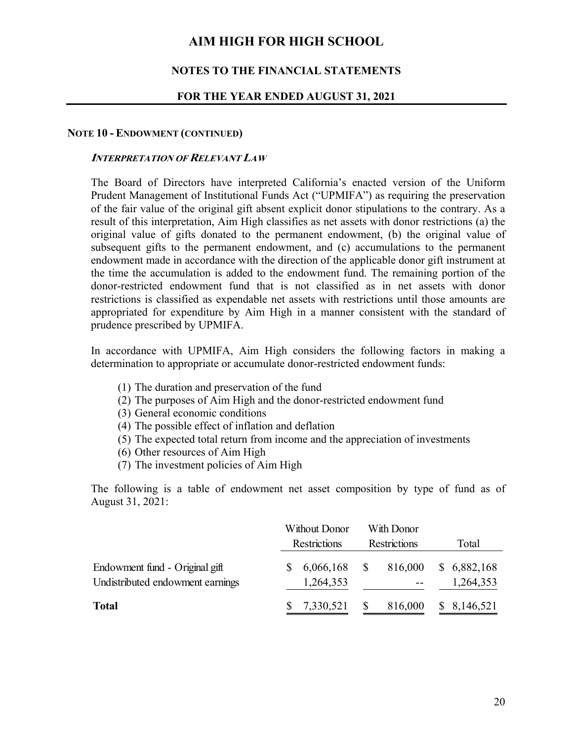### **NOTES TO THE FINANCIAL STATEMENTS**

#### **FOR THE YEAR ENDED AUGUST 31, 2021**

#### **NOTE 10 - ENDOWMENT (CONTINUED)**

#### **INTERPRETATION OF RELEVANT LAW**

The Board of Directors have interpreted California's enacted version of the Uniform Prudent Management of Institutional Funds Act ("UPMIFA") as requiring the preservation of the fair value of the original gift absent explicit donor stipulations to the contrary. As a result of this interpretation, Aim High classifies as net assets with donor restrictions (a) the original value of gifts donated to the permanent endowment, (b) the original value of subsequent gifts to the permanent endowment, and (c) accumulations to the permanent endowment made in accordance with the direction of the applicable donor gift instrument at the time the accumulation is added to the endowment fund. The remaining portion of the donor-restricted endowment fund that is not classified as in net assets with donor restrictions is classified as expendable net assets with restrictions until those amounts are appropriated for expenditure by Aim High in a manner consistent with the standard of prudence prescribed by UPMIFA.

In accordance with UPMIFA, Aim High considers the following factors in making a determination to appropriate or accumulate donor-restricted endowment funds:

- (1) The duration and preservation of the fund
- (2) The purposes of Aim High and the donor-restricted endowment fund
- (3) General economic conditions
- (4) The possible effect of inflation and deflation
- (5) The expected total return from income and the appreciation of investments
- (6) Other resources of Aim High
- (7) The investment policies of Aim High

The following is a table of endowment net asset composition by type of fund as of August 31, 2021:

|                                                                    | Without Donor<br><b>Restrictions</b> |                        | With Donor<br><b>Restrictions</b> |         | Total                    |
|--------------------------------------------------------------------|--------------------------------------|------------------------|-----------------------------------|---------|--------------------------|
| Endowment fund - Original gift<br>Undistributed endowment earnings |                                      | 6,066,168<br>1,264,353 |                                   | 816,000 | \$6,882,168<br>1,264,353 |
| <b>Total</b>                                                       |                                      | 7,330,521              |                                   | 816,000 | 8,146,521                |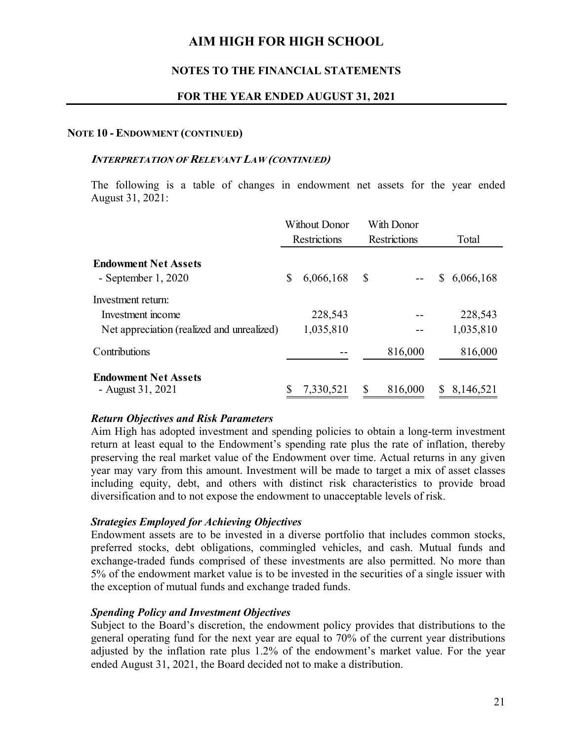## **NOTES TO THE FINANCIAL STATEMENTS**

## **FOR THE YEAR ENDED AUGUST 31, 2021**

#### **NOTE 10 - ENDOWMENT (CONTINUED)**

#### **INTERPRETATION OF RELEVANT LAW (CONTINUED)**

The following is a table of changes in endowment net assets for the year ended August 31, 2021:

|                                                     | Without Donor<br><b>Restrictions</b> |           | With Donor<br><b>Restrictions</b> |         |       |           |
|-----------------------------------------------------|--------------------------------------|-----------|-----------------------------------|---------|-------|-----------|
|                                                     |                                      |           |                                   |         | Total |           |
| <b>Endowment Net Assets</b><br>- September $1,2020$ | \$                                   | 6,066,168 | $\mathbb{S}$                      |         | \$    | 6,066,168 |
| Investment return:<br>Investment income             |                                      | 228,543   |                                   |         |       | 228,543   |
| Net appreciation (realized and unrealized)          |                                      | 1,035,810 |                                   |         |       | 1,035,810 |
| Contributions                                       |                                      |           |                                   | 816,000 |       | 816,000   |
| <b>Endowment Net Assets</b><br>- August 31, 2021    |                                      | 7,330,521 | S                                 | 816,000 |       | 8,146,521 |

#### *Return Objectives and Risk Parameters*

Aim High has adopted investment and spending policies to obtain a long-term investment return at least equal to the Endowment's spending rate plus the rate of inflation, thereby preserving the real market value of the Endowment over time. Actual returns in any given year may vary from this amount. Investment will be made to target a mix of asset classes including equity, debt, and others with distinct risk characteristics to provide broad diversification and to not expose the endowment to unacceptable levels of risk.

## *Strategies Employed for Achieving Objectives*

Endowment assets are to be invested in a diverse portfolio that includes common stocks, preferred stocks, debt obligations, commingled vehicles, and cash. Mutual funds and exchange-traded funds comprised of these investments are also permitted. No more than 5% of the endowment market value is to be invested in the securities of a single issuer with the exception of mutual funds and exchange traded funds.

## *Spending Policy and Investment Objectives*

Subject to the Board's discretion, the endowment policy provides that distributions to the general operating fund for the next year are equal to 70% of the current year distributions adjusted by the inflation rate plus 1.2% of the endowment's market value. For the year ended August 31, 2021, the Board decided not to make a distribution.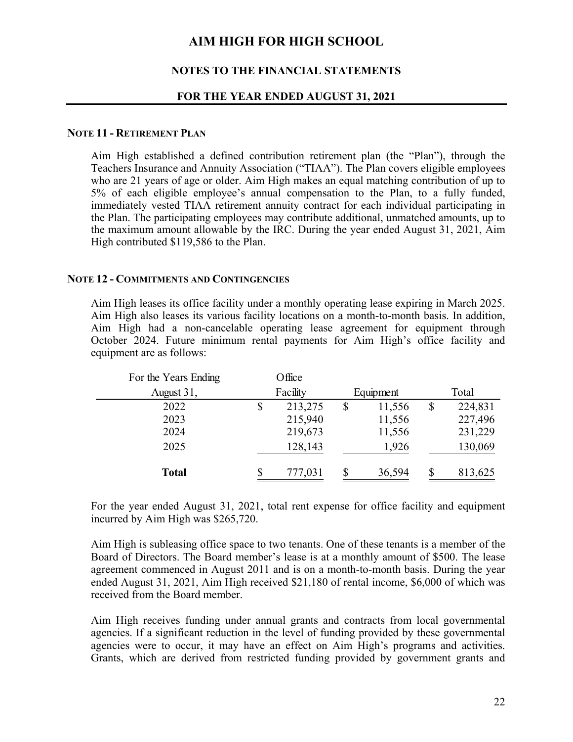### **NOTES TO THE FINANCIAL STATEMENTS**

#### **FOR THE YEAR ENDED AUGUST 31, 2021**

#### **NOTE 11 - RETIREMENT PLAN**

Aim High established a defined contribution retirement plan (the "Plan"), through the Teachers Insurance and Annuity Association ("TIAA"). The Plan covers eligible employees who are 21 years of age or older. Aim High makes an equal matching contribution of up to 5% of each eligible employee's annual compensation to the Plan, to a fully funded, immediately vested TIAA retirement annuity contract for each individual participating in the Plan. The participating employees may contribute additional, unmatched amounts, up to the maximum amount allowable by the IRC. During the year ended August 31, 2021, Aim High contributed \$119,586 to the Plan.

#### **NOTE 12 - COMMITMENTS AND CONTINGENCIES**

Aim High leases its office facility under a monthly operating lease expiring in March 2025. Aim High also leases its various facility locations on a month-to-month basis. In addition, Aim High had a non-cancelable operating lease agreement for equipment through October 2024. Future minimum rental payments for Aim High's office facility and equipment are as follows:

| For the Years Ending | Office        |              |    |         |
|----------------------|---------------|--------------|----|---------|
| August 31,           | Facility      | Equipment    |    | Total   |
| 2022                 | \$<br>213,275 | \$<br>11,556 | \$ | 224,831 |
| 2023                 | 215,940       | 11,556       |    | 227,496 |
| 2024                 | 219,673       | 11,556       |    | 231,229 |
| 2025                 | 128,143       | 1,926        |    | 130,069 |
| <b>Total</b>         | \$<br>777,031 | \$<br>36,594 | S  | 813,625 |

For the year ended August 31, 2021, total rent expense for office facility and equipment incurred by Aim High was \$265,720.

Aim High is subleasing office space to two tenants. One of these tenants is a member of the Board of Directors. The Board member's lease is at a monthly amount of \$500. The lease agreement commenced in August 2011 and is on a month-to-month basis. During the year ended August 31, 2021, Aim High received \$21,180 of rental income, \$6,000 of which was received from the Board member.

Aim High receives funding under annual grants and contracts from local governmental agencies. If a significant reduction in the level of funding provided by these governmental agencies were to occur, it may have an effect on Aim High's programs and activities. Grants, which are derived from restricted funding provided by government grants and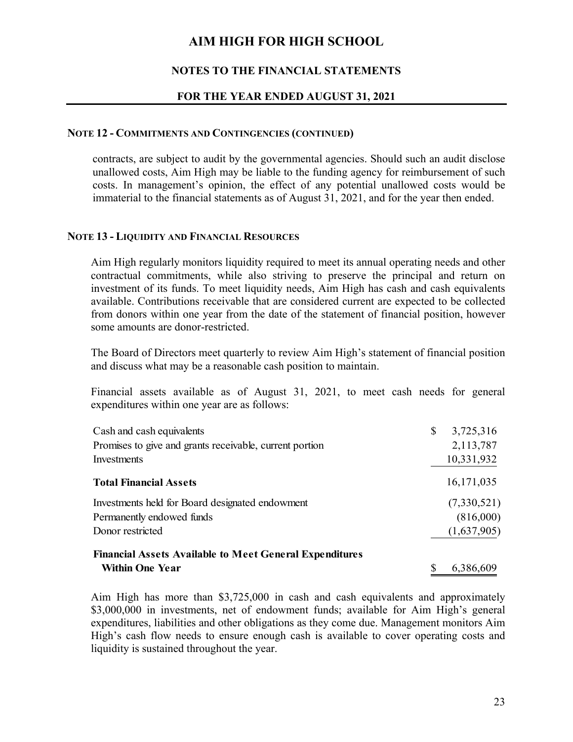## **NOTES TO THE FINANCIAL STATEMENTS**

## **FOR THE YEAR ENDED AUGUST 31, 2021**

### **NOTE 12 - COMMITMENTS AND CONTINGENCIES (CONTINUED)**

contracts, are subject to audit by the governmental agencies. Should such an audit disclose unallowed costs, Aim High may be liable to the funding agency for reimbursement of such costs. In management's opinion, the effect of any potential unallowed costs would be immaterial to the financial statements as of August 31, 2021, and for the year then ended.

### **NOTE 13 - LIQUIDITY AND FINANCIAL RESOURCES**

Aim High regularly monitors liquidity required to meet its annual operating needs and other contractual commitments, while also striving to preserve the principal and return on investment of its funds. To meet liquidity needs, Aim High has cash and cash equivalents available. Contributions receivable that are considered current are expected to be collected from donors within one year from the date of the statement of financial position, however some amounts are donor-restricted.

The Board of Directors meet quarterly to review Aim High's statement of financial position and discuss what may be a reasonable cash position to maintain.

Financial assets available as of August 31, 2021, to meet cash needs for general expenditures within one year are as follows:

| Cash and cash equivalents                                      | \$ | 3,725,316    |
|----------------------------------------------------------------|----|--------------|
| Promises to give and grants receivable, current portion        |    | 2,113,787    |
| Investments                                                    |    | 10,331,932   |
| <b>Total Financial Assets</b>                                  |    | 16, 171, 035 |
| Investments held for Board designated endowment                |    | (7,330,521)  |
| Permanently endowed funds                                      |    | (816,000)    |
| Donor restricted                                               |    | (1,637,905)  |
| <b>Financial Assets Available to Meet General Expenditures</b> |    |              |
| <b>Within One Year</b>                                         | S  | 6,386,609    |

Aim High has more than \$3,725,000 in cash and cash equivalents and approximately \$3,000,000 in investments, net of endowment funds; available for Aim High's general expenditures, liabilities and other obligations as they come due. Management monitors Aim High's cash flow needs to ensure enough cash is available to cover operating costs and liquidity is sustained throughout the year.